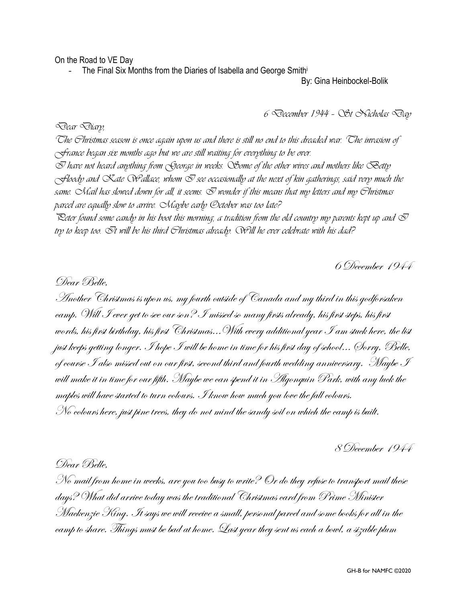On the Road to VE Day

The Final Six Months from the Diaries of Isabella and George Smithi

By: Gina Heinbockel-Bolik

*6 December 1944 – St Nicholas Day*

*Dear Diary,*

*The Christmas season is once again upon us and there is still no end to this dreaded war. The invasion of France began six months ago but we are still waiting for everything to be over. I have not heard anything from George in weeks. Some of the other wives and mothers like Betty*   $\sim$ floody and  $\propto$ ate  $\infty$ allace, whom  $\infty$  see occasionally at the next of kin gatherings, said very much the *same. Mail has slowed down for all, it seems. I wonder if this means that my letters and my Christmas parcel are equally slow to arrive. Maybe early October was too late?*

Peter found some candy in his boot this morning, a tradition from the old country my parents kept up and  $\mathcal \bar \triangledown$ *try to keep too. It will be his third Christmas already. Will he ever celebrate with his dad?*

6 December 1944

Dear Belle, Another Christmas is upon us, my fourth outside of Canada and my third in this godforsaken camp. Will I ever get to see our son? I missed so many firsts already, his first steps, his first words, his first birthday, his first Christmas...With every additional year I am stuck here, the list just keeps getting longer. I hope I will be home in time for his first day of school... (Torry, Belle, of course  ${\mathcal I}$  also missed out on our first, second third and fourth wedding anniversary. Maybe  ${\mathcal I}$ will make it in time for our fifth. Maybe we can spend it in Algonquin Park, with any luck the maples will have started to turn colours. I know how much you love the fall colours. No colours here, just pine trees, they do not mind the sandy soil on which the camp is built.

8 December 1944

Dear Belle,

No mail from home in weeks, are you too busy to write? Or do they refuse to transport mail these days? What did arrive today was the traditional Christmas card from Prime Minister Mackenzie King. It says we will receive a small, personal parcel and some books for all in the camp to share. Things must be bad at home. Last year they sent us each a bowl, a sizable plum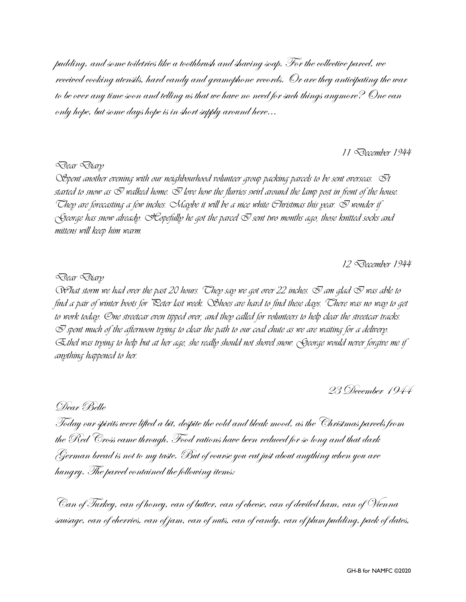pudding, and some toiletries like a toothbrush and shaving soap. For the collective parcel, we received cooking utensils, hard candy and gramophone records. Or are they anticipating the war to be over any time soon and telling us that we have no need for such things anymore? One can only hope, but some days hope is in short supply around here…

*11 December 1944* 

#### *Dear Diary*

*Spent another evening with our neighbourhood volunteer group packing parcels to be sent overseas. It started to snow as I walked home. I love how the flurries swirl around the lamp post in front of the house.* They are forecasting a few inches. Maybe it will be a nice white Christmas this year.  $\bar{\mathbb{U}}$  wonder if *George has snow already. Hopefully he got the parcel I sent two months ago, those knitted socks and mittens will keep him warm.*

*12 December 1944*

#### *Dear Diary*

 $Q$  *What storm we had over the past 20 hours. They say we got over 22 inches.*  $Q$  *am glad*  $Q$  *was able to find a pair of winter boots for Peter last week. Shoes are hard to find these days. There was no way to get to work today. One streetcar even tipped over, and they called for volunteers to help clear the streetcar tracks.*   $\oslash$  spent much of the afternoon trying to clear the path to our coal chute as we are waiting for a delivery. *Ethel was trying to help but at her age, she really should not shovel snow. George would never forgive me if anything happened to her.* 

23 December 1944

Dear Belle

Today our spirits were lifted a bit, despite the cold and bleak mood, as the Christmas parcels from the Red Cross came through. Food rations have been reduced for so long and that dark German bread is not to my taste. But of course you eat just about anything when you are hungry. The parcel contained the following items:

Can of Turkey, can of honey, can of butter, can of cheese, can of deviled ham, can of Vienna sausage, can of cherries, can of jam, can of nuts, can of candy, can of plum pudding, pack of dates,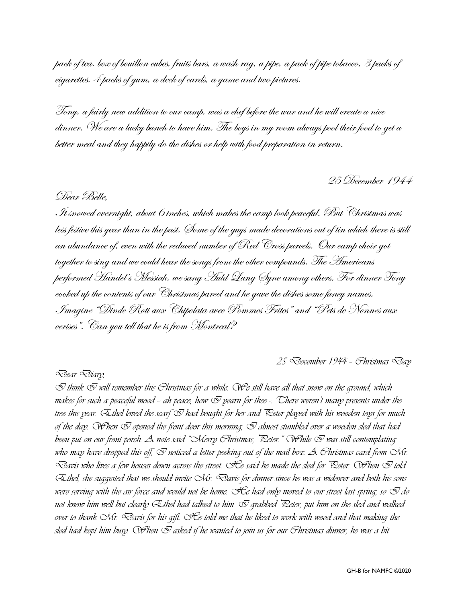pack of tea, box of bouillon cubes, fruits bars, a wash rag, a pipe, a pack of pipe tobacco, 3 packs of cigarettes, 4 packs of gum, a deck of cards, a game and two pictures.

Tony, a fairly new addition to our camp, was a chef before the war and he will create a nice dinner. We are a lucky bunch to have him. The boys in my room always pool their food to get a better meal and they happily do the dishes or help with food preparation in return.

25 December 1944

### Dear Belle,

It snowed overnight, about 6 inches, which makes the camp look peaceful. But Christmas was less festive this year than in the past. Some of the guys made decorations out of tin which there is still an abundance of, even with the reduced number of Red  $\it{Cross}$  parcels.  $\it{Our}$  camp choir got together to sing and we could hear the songs from the other compounds. The Americans performed Handel's Messiah, we sang Auld Lang Syne among others. For dinner Tony cooked up the contents of our Christmas parcel and he gave the dishes some fancy names. Imagine "Dinde Roti aux Chipolata avec Pommes Frites" and "Pets de Nonnes aux cerises". Can you tell that he is from Montreal?

*25 December 1944 – Christmas Day*

#### *Dear Diary,*

 $\bar{\varnothing}$  think  $\bar{\varnothing}$  will remember this Christmas for a while. We still have all that snow on the ground, which *makes for such a peaceful mood – ah peace, how I yearn for thee -. There weren't many presents under the tree this year. Ethel loved the scarf I had bought for her and Peter played with his wooden toys for much of the day. Wrhen*  $\sigma$  *opened the front door this morning,*  $\sigma$  *almost stumbled over a wooden sled that had been put on our front porch. A note said "Merry Christmas, Peter." While I was still contemplating*  who may have dropped this off,  $\odot$  noticed a letter peeking out of the mail box.  $\cal A$  Christmas card from  $\cal M$ r. *Davis who lives a few houses down across the street. He said he made the sled for Peter. When I told Ethel, she suggested that we should invite Mr. Davis for dinner since he was a widower and both his sons were serving with the air force and would not be home. He had only moved to our street last spring, so I do not know him well but clearly Ethel had talked to him. I grabbed Peter, put him on the sled and walked over to thank Mr. Davis for his gift. He told me that he liked to work with wood and that making the sled had kept him busy. When I asked if he wanted to join us for our Christmas dinner, he was a bit*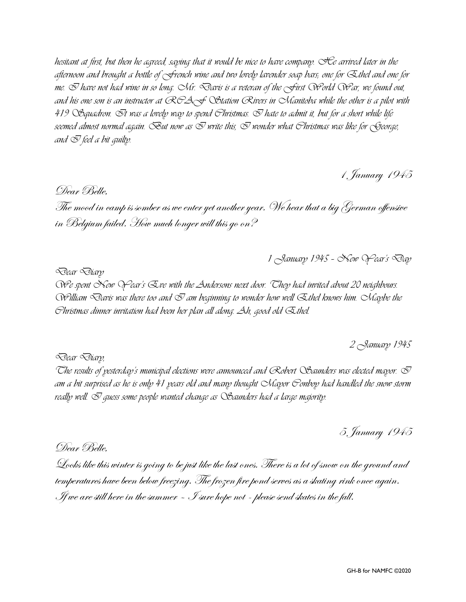*hesitant at first, but then he agreed, saying that it would be nice to have company. He arrived later in the afternoon and brought a bottle of French wine and two lovely lavender soap bars; one for Ethel and one for me. I have not had wine in so long. Mr. Davis is a veteran of the First World War, we found out, and his one son is an instructor at RCAF Station Rivers in Manitoba while the other is a pilot with 419 Squadron. It was a lovely way to spend Christmas. I hate to admit it, but for a short while life seemed almost normal again. But now as I write this, I wonder what Christmas was like for George, and*  $\mathcal{\nabla}$  *feel a bit quilty.* 

1 January 1945

Dear Belle,

The mood in camp is somber as we enter yet another year. We hear that a big German offensive in Belgium failed. How much longer will this go on?

*1 January 1945 – New Year's Day*

*Dear Diary*

*We spent New Year's Eve with the Andersons next door. They had invited about 20 neighbours.*   $W$ illiam  $\triangle$ avis was there too and  $\triangle$  am beginning to wonder how well  $\triangle$ thel knows him.  $\triangle$ Kaybe the *Christmas dinner invitation had been her plan all along. Ah, good old Ethel.* 

*2 January 1945*

*Dear Diary,*

The results of pesterday's municipal elections were announced and Robert  $\mathcal C$ Baunders was elected mayor.  $\mathcal \bar V$ *am a bit surprised as he is only 41 years old and many thought Mayor Conboy had handled the snow storm really well.*  $\mathcal{\nabla}$  *quess some people wanted change as*  $\mathcal{Q}$  *Saunders had a large majority.* 

5 January 1945

Dear Belle,

Looks like this winter is going to be just like the last ones. There is a lot of snow on the ground and temperatures have been below freezing. The frozen fire pond serves as a skating rink once again. If we are still here in the summer  $\sim\mathcal I$  sure hope not - please send skates in the fall.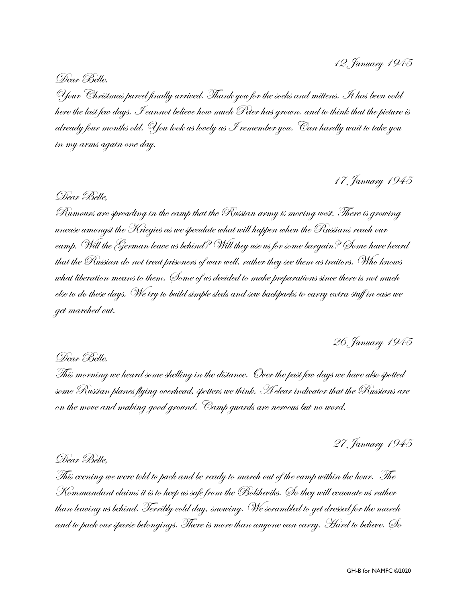Dear Belle,

Your Christmas parcel finally arrived. Thank you for the socks and mittens. It has been cold here the last few days. I cannot believe how much Peter has grown, and to think that the picture is already four months old. You look as lovely as I remember you. Can hardly wait to take you in my arms again one day.

# 17 January 1945

# Dear Belle,

Rumours are spreading in the camp that the Russian army is moving west. There is growing unease amongst the Kriegies as we speculate what will happen when the Russians reach our camp. Will the German leave us behind? Will they use us for some bargain? Some have heard that the Russian do not treat prisoners of war well, rather they see them as traitors. Who knows what liberation means to them. Some of us decided to make preparations since there is not much else to do these days. We try to build simple sleds and sew backpacks to carry extra stuff in case we get marched out.

# 26 January 1945

# Dear Belle,

This morning we heard some shelling in the distance. Over the past few days we have also spotted some Russian planes flying overhead, spotters we think.  ${\mathcal H}$  clear indicator that the Russians are on the move and making good ground. Camp guards are nervous but no word.

# 27 January 1945

# Dear Belle,

This evening we were told to pack and be ready to march out of the camp within the hour. The Kommandant claims it is to keep us safe from the Bolsheviks. So they will evacuate us rather than leaving us behind. Terribly cold day, snowing. We scrambled to get dressed for the march and to pack our sparse belongings. There is more than anyone can carry. Hard to believe. So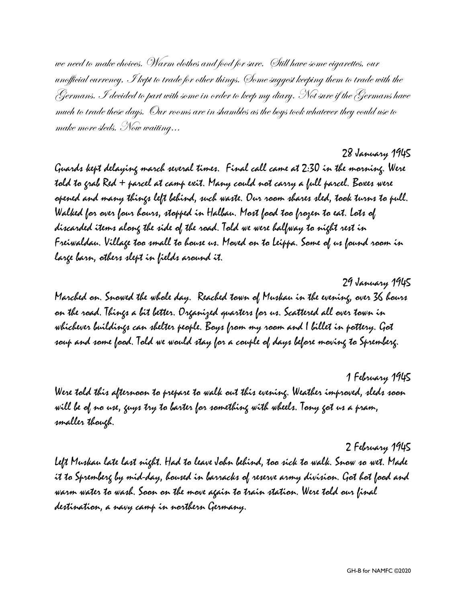we need to make choices. Warm clothes and food for sure. Still have some cigarettes, our unofficial currency, I kept to trade for other things. Some suggest keeping them to trade with the Germans. I decided to part with some in order to keep my diary. Not sure if the Germans have much to trade these days. Our rooms are in shambles as the boys took whatever they could use to make more sleds. Now waiting…

28 January 1945

Guards kept delaying march several times. Final call came at 2:30 in the morning. Were told to grab Red + parcel at camp exit. Many could not carry a full parcel. Boxes were opened and many things left behind, such waste. Our room shares sled, took turns to pull. Walked for over four hours, stopped in Halbau. Most food too frozen to eat. Lots of discarded items along the side of the road. Told we were halfway to night rest in Freiwaldau. Village too small to house us. Moved on to Leippa. Some of us found room in large barn, others slept in fields around it.

29 January 1945 Marched on. Snowed the whole day. Reached town of Muskau in the evening, over 36 hours on the road. Things a bit better. Organized quarters for us. Scattered all over town in whichever buildings can shelter people. Boys from my room and I billet in pottery. Got soup and some food. Told we would stay for a couple of days before moving to Spremberg.

1 February 1945 Were told this afternoon to prepare to walk out this evening. Weather improved, sleds soon will be of no use, guys try to barter for something with wheels. Tony got us a pram, smaller though.

2 February 1945 Left Muskau late last night. Had to leave John behind, too sick to walk. Snow so wet. Made it to Spremberg by mid-day, housed in barracks of reserve army division. Got hot food and warm water to wash. Soon on the move again to train station. Were told our final destination, a navy camp in northern Germany.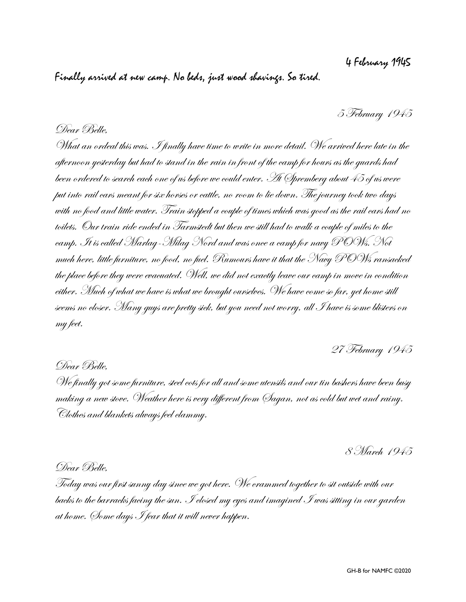# 4 February 1945

# Finally arrived at new camp. No beds, just wood shavings. So tired.

5 February 1945

# Dear Belle,

What an ordeal this was. I finally have time to write in more detail. We arrived here late in the afternoon yesterday but had to stand in the rain in front of the camp for hours as the guards had been ordered to search each one of us before we could enter. At Spremberg about 45 of us were put into rail cars meant for six horses or cattle, no room to lie down. The journey took two days with no food and little water. Train stopped a couple of times which was good as the rail cars had no toilets. Our train ride ended in Tarmstedt but then we still had to walk a couple of miles to the camp. It is called Marlag-Milag Nord and was once a camp for navy POWs. Not much here, little furniture, no food, no fuel. Rumours have it that the Navy POWs ransacked the place before they were evacuated. Well, we did not exactly leave our camp in move in condition either. Much of what we have is what we brought ourselves. We have come so far, yet home still seems no closer. Many guys are pretty sick, but you need not worry, all I have is some blisters on my feet.

27 February 1945

## Dear Belle,

We finally got some furniture, steel cots for all and some utensils and our tin bashers have been busy making a new stove. Weather here is very different from Sagan, not as cold but wet and rainy. Clothes and blankets always feel clammy.

8 March 1945

## Dear Belle,

Today was our first sunny day since we got here. We crammed together to sit outside with our backs to the barracks facing the sun. I closed my eyes and imagined I was sitting in our garden at home. Some days I fear that it will never happen.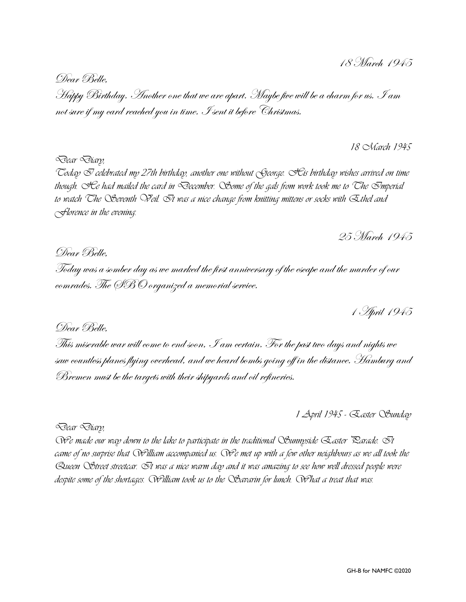Dear Belle, Happy Birthday. Another one that we are apart. Maybe five will be a charm for us. I am not sure if my card reached you in time. I sent it before Christmas.

*18 March 1945*

*Today I celebrated my 27th birthday, another one without George. His birthday wishes arrived on time though. He had mailed the card in December. Some of the gals from work took me to The Imperial to watch The Seventh Veil. It was a nice change from knitting mittens or socks with Ethel and Florence in the evening.*

25 March 1945

# Dear Belle,

*Dear Diary,*

Today was a somber day as we marked the first anniversary of the escape and the murder of our comrades. The SBO organized a memorial service.

1 April 1945

# Dear Belle,

This miserable war will come to end soon, I am certain. For the past two days and nights we saw countless planes flying overhead, and we heard bombs going off in the distance. Hamburg and Bremen must be the targets with their shipyards and oil refineries.

*1 April 1945 - Easter Sunday*

*Dear Diary,*

*We made our way down to the lake to participate in the traditional Sunnyside Easter Parade. It came of no surprise that William accompanied us. We met up with a few other neighbours as we all took the Queen Street streetcar. It was a nice warm day and it was amazing to see how well dressed people were despite some of the shortages. William took us to the Savarin for lunch. What a treat that was.*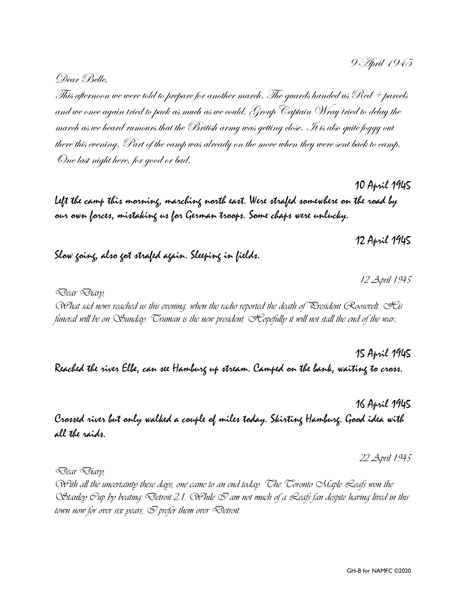9 April 1945

Dear Belle,

This afternoon we were told to prepare for another march. The guards handed us Red + parcels and we once again tried to pack as much as we could. Group Captain Wray tried to delay the march as we heard rumours that the British army was getting close. It is also quite foggy out there this evening. Part of the camp was already on the move when they were sent back to camp. One last night here, for good or bad.

10 April 1945 Left the camp this morning, marching north east. Were strafed somewhere on the road by our own forces, mistaking us for German troops. Some chaps were unlucky.

Slow going, also got strafed again. Sleeping in fields.

*Dear Diary,*

*What sad news reached us this evening, when the radio reported the death of President Roosevelt. His funeral will be on Sunday. Truman is the new president. Hopefully it will not stall the end of the war*.

15 April 1945 Reached the river Elbe, can see Hamburg up stream. Camped on the bank, waiting to cross.

16 April 1945 Crossed river but only walked a couple of miles today. Skirting Hamburg. Good idea with all the raids.

*22 April 1945*

*Dear Diary,*

*With all the uncertainty these days, one came to an end today. The Toronto Maple Leafs won the Stanley Cup by beating Detroit 2:1. While I am not much of a Leafs fan despite having lived in this town now for over six years,*  $\oslash$  *prefer them over*  $\oslash$ *etroit.* 

12 April 1945

*12 April 1945*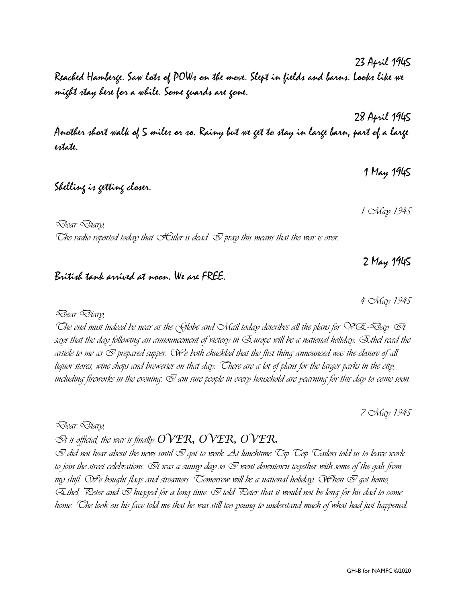Reached Hamberge. Saw lots of POWs on the move. Slept in fields and barns. Looks like we might stay here for a while. Some guards are gone.

28 April 1945 Another short walk of 5 miles or so. Rainy but we get to stay in large barn, part of a large estate.

Shelling is getting closer.

*Dear Diary,*

The radio reported today that  $\mathcal{H}$ itler is dead.  $\mathcal O$  pray this means that the war is over.

### British tank arrived at noon. We are FREE.

*Dear Diary, The end must indeed be near as the Globe and Mail today describes all the plans for VE-Day. It says that the day following an announcement of victory in Europe will be a national holiday. Ethel read the article to me as I prepared supper. We both chuckled that the first thing announced was the closure of all liquor stores, wine shops and breweries on that day. There are a lot of plans for the larger parks in the city, including fireworks in the evening. I am sure people in every household are yearning for this day to come soon.*

*7 May 1945*

*Dear Diary,*

 $\bar{\otimes}$ t is official, the war is finally  $\text{OVER}, \text{OVER}, \text{OVER}.$ 

 $\bar{O}$  *did not hear about the news until*  $\bar{O}$  *got to work. At lunchtime*  $\bar{C}$ *ip*  $\bar{C}$ *op*  $\bar{C}$ *<i>ailors told us to leave work* to join the street celebrations.  $\bar{\odot}$ t was a sunny day so  $\bar{\odot}$  went downtown together with some of the gals from *my shift. We e bought flags and streamers. Comorrow will be a national holiday. When*  $\mathcal D$  *got home, Ethel, Peter and I hugged for a long time. I told Peter that it would not be long for his dad to come home. The look on his face told me that he was still too young to understand much of what had just happened.* 

23 April 1945

*1 May 1945*

1 May 1945

2 May 1945

*4 May 1945*